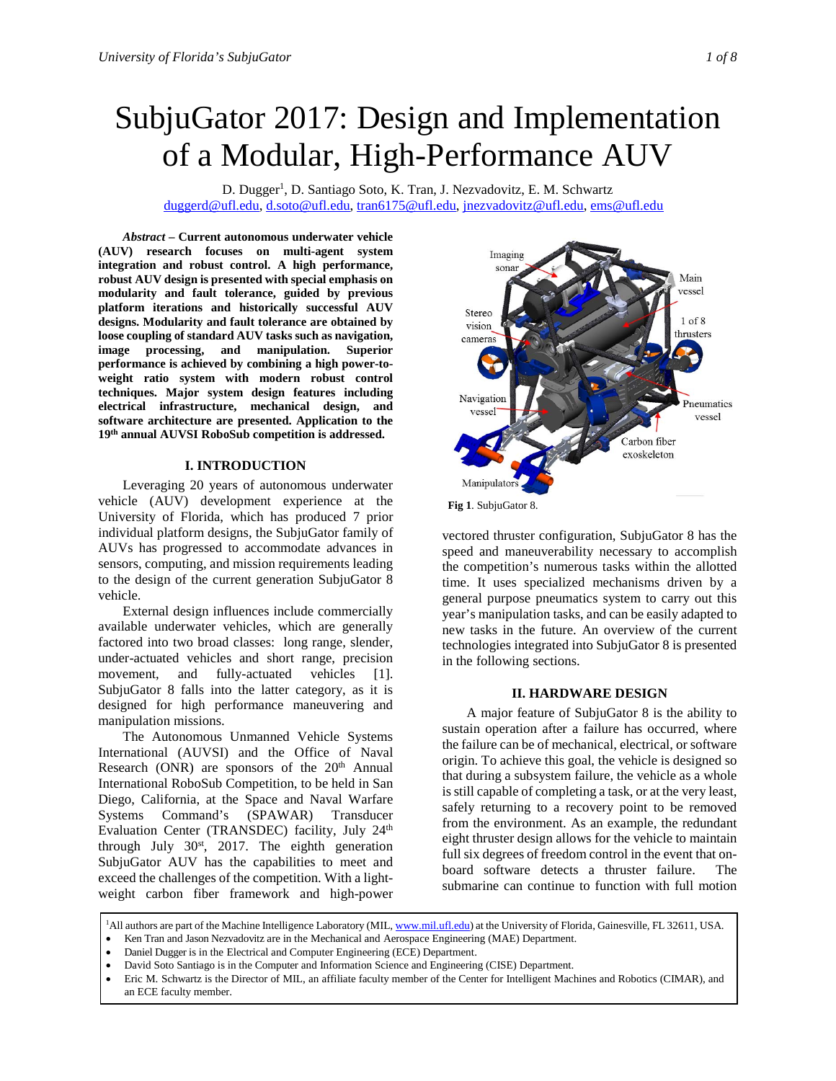# SubjuGator 2017: Design and Implementation of a Modular, High-Performance AUV

D. Dugger<sup>1</sup>, D. Santiago Soto, K. Tran, J. Nezvadovitz, E. M. Schwartz [duggerd@ufl.edu,](mailto:duggerd@ufl.edu) [d.soto@ufl.edu,](mailto:d.soto@ufl.edu) [tran6175@ufl.edu,](mailto:tran6175@ufl.edu) [jnezvadovitz@ufl.edu,](mailto:jnezvadovitz@ufl.edu) [ems@ufl.edu](mailto:ems@ufl.edu)

*Abstract* **– Current autonomous underwater vehicle (AUV) research focuses on multi-agent system integration and robust control. A high performance, robust AUV design is presented with special emphasis on modularity and fault tolerance, guided by previous platform iterations and historically successful AUV designs. Modularity and fault tolerance are obtained by loose coupling of standard AUV tasks such as navigation, image processing, and manipulation. Superior performance is achieved by combining a high power-toweight ratio system with modern robust control techniques. Major system design features including electrical infrastructure, mechanical design, and software architecture are presented. Application to the 19th annual AUVSI RoboSub competition is addressed.**

# **I. INTRODUCTION**

Leveraging 20 years of autonomous underwater vehicle (AUV) development experience at the University of Florida, which has produced 7 prior individual platform designs, the SubjuGator family of AUVs has progressed to accommodate advances in sensors, computing, and mission requirements leading to the design of the current generation SubjuGator 8 vehicle.

External design influences include commercially available underwater vehicles, which are generally factored into two broad classes: long range, slender, under-actuated vehicles and short range, precision movement, and fully-actuated vehicles [1]. SubjuGator 8 falls into the latter category, as it is designed for high performance maneuvering and manipulation missions.

The Autonomous Unmanned Vehicle Systems International (AUVSI) and the Office of Naval Research (ONR) are sponsors of the 20<sup>th</sup> Annual International RoboSub Competition, to be held in San Diego, California, at the Space and Naval Warfare Systems Command's (SPAWAR) Transducer Evaluation Center (TRANSDEC) facility, July 24<sup>th</sup> through July  $30<sup>st</sup>$ , 2017. The eighth generation SubjuGator AUV has the capabilities to meet and exceed the challenges of the competition. With a lightweight carbon fiber framework and high-power



**Fig 1**. SubjuGator 8.

vectored thruster configuration, SubjuGator 8 has the speed and maneuverability necessary to accomplish the competition's numerous tasks within the allotted time. It uses specialized mechanisms driven by a general purpose pneumatics system to carry out this year's manipulation tasks, and can be easily adapted to new tasks in the future. An overview of the current technologies integrated into SubjuGator 8 is presented in the following sections.

# **II. HARDWARE DESIGN**

A major feature of SubjuGator 8 is the ability to sustain operation after a failure has occurred, where the failure can be of mechanical, electrical, or software origin. To achieve this goal, the vehicle is designed so that during a subsystem failure, the vehicle as a whole is still capable of completing a task, or at the very least, safely returning to a recovery point to be removed from the environment. As an example, the redundant eight thruster design allows for the vehicle to maintain full six degrees of freedom control in the event that onboard software detects a thruster failure. The submarine can continue to function with full motion

• David Soto Santiago is in the Computer and Information Science and Engineering (CISE) Department.

<sup>&</sup>lt;sup>1</sup>All authors are part of the Machine Intelligence Laboratory (MIL[, www.mil.ufl.edu\)](http://www.mil.ufl.edu/) at the University of Florida, Gainesville, FL 32611, USA.

<sup>•</sup> Ken Tran and Jason Nezvadovitz are in the Mechanical and Aerospace Engineering (MAE) Department.

<sup>•</sup> Daniel Dugger is in the Electrical and Computer Engineering (ECE) Department.

<sup>•</sup> Eric M. Schwartz is the Director of MIL, an affiliate faculty member of the Center for Intelligent Machines and Robotics (CIMAR), and an ECE faculty member.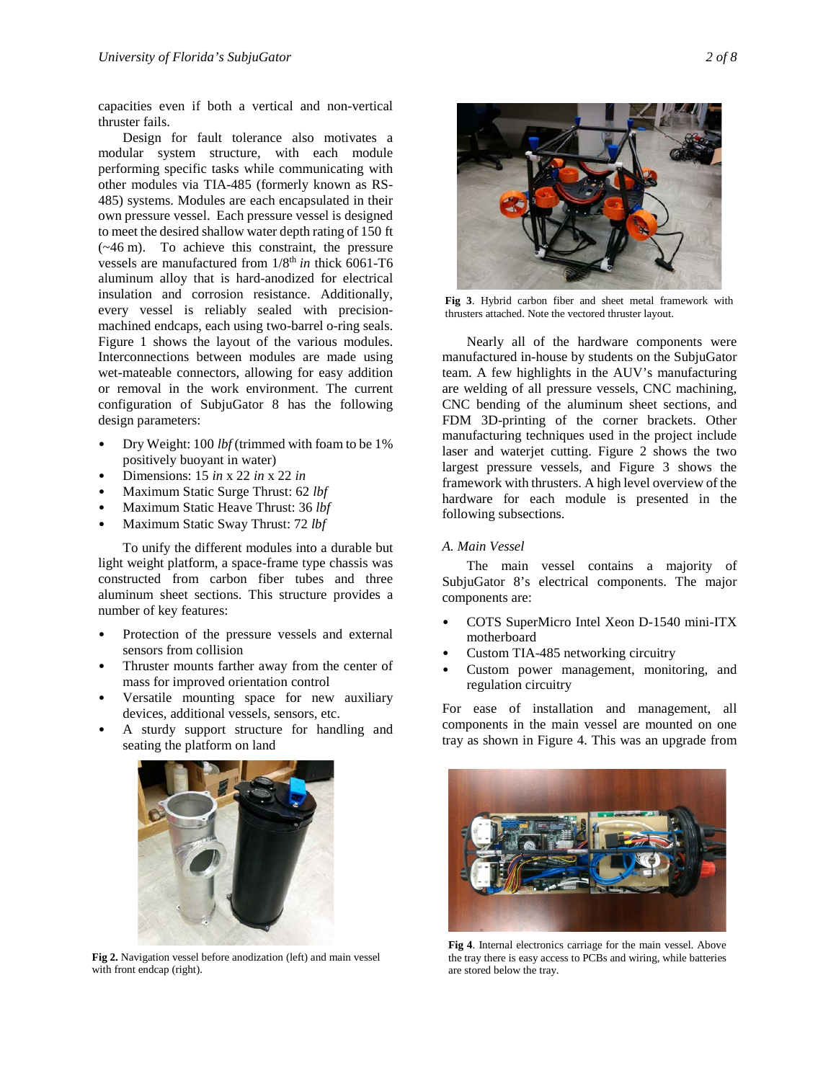capacities even if both a vertical and non-vertical thruster fails.

Design for fault tolerance also motivates a modular system structure, with each module performing specific tasks while communicating with other modules via TIA-485 (formerly known as RS-485) systems. Modules are each encapsulated in their own pressure vessel. Each pressure vessel is designed to meet the desired shallow water depth rating of 150 ft (~46 m). To achieve this constraint, the pressure vessels are manufactured from  $1/8^{th}$  *in* thick 6061-T6 aluminum alloy that is hard-anodized for electrical insulation and corrosion resistance. Additionally, every vessel is reliably sealed with precisionmachined endcaps, each using two-barrel o-ring seals. Figure 1 shows the layout of the various modules. Interconnections between modules are made using wet-mateable connectors, allowing for easy addition or removal in the work environment. The current configuration of SubjuGator 8 has the following design parameters:

- Dry Weight: 100 *lbf* (trimmed with foam to be 1% positively buoyant in water)
- Dimensions: 15 *in* x 22 *in* x 22 *in*
- Maximum Static Surge Thrust: 62 *lbf*
- Maximum Static Heave Thrust: 36 *lbf*
- Maximum Static Sway Thrust: 72 *lbf*

To unify the different modules into a durable but light weight platform, a space-frame type chassis was constructed from carbon fiber tubes and three aluminum sheet sections. This structure provides a number of key features:

- Protection of the pressure vessels and external sensors from collision
- Thruster mounts farther away from the center of mass for improved orientation control
- Versatile mounting space for new auxiliary devices, additional vessels, sensors, etc.
- A sturdy support structure for handling and seating the platform on land



**Fig 2.** Navigation vessel before anodization (left) and main vessel with front endcap (right).



**Fig 3**. Hybrid carbon fiber and sheet metal framework with thrusters attached. Note the vectored thruster layout.

Nearly all of the hardware components were manufactured in-house by students on the SubjuGator team. A few highlights in the AUV's manufacturing are welding of all pressure vessels, CNC machining, CNC bending of the aluminum sheet sections, and FDM 3D-printing of the corner brackets. Other manufacturing techniques used in the project include laser and waterjet cutting. Figure 2 shows the two largest pressure vessels, and Figure 3 shows the framework with thrusters. A high level overview of the hardware for each module is presented in the following subsections.

# *A. Main Vessel*

The main vessel contains a majority of SubjuGator 8's electrical components. The major components are:

- COTS SuperMicro Intel Xeon D-1540 mini-ITX motherboard
- Custom TIA-485 networking circuitry
- Custom power management, monitoring, and regulation circuitry

For ease of installation and management, all components in the main vessel are mounted on one tray as shown in Figure 4. This was an upgrade from



**Fig 4**. Internal electronics carriage for the main vessel. Above the tray there is easy access to PCBs and wiring, while batteries are stored below the tray.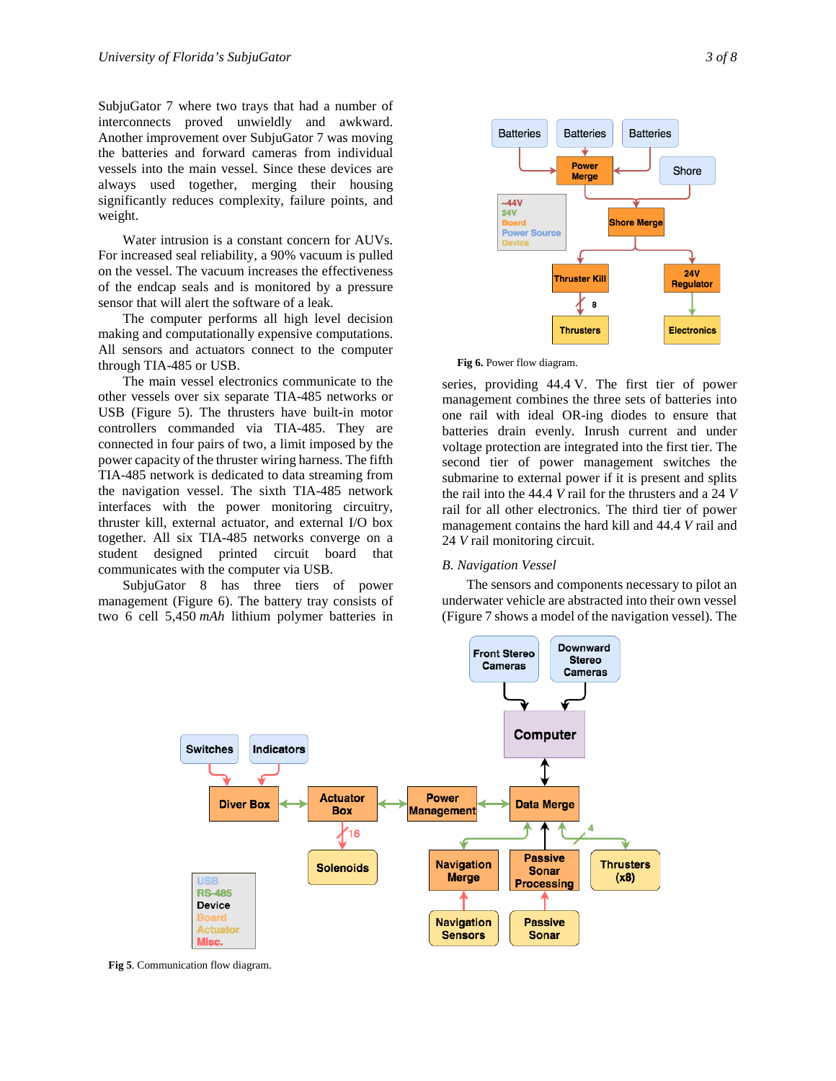SubjuGator 7 where two trays that had a number of interconnects proved unwieldly and awkward. Another improvement over SubjuGator 7 was moving the batteries and forward cameras from individual vessels into the main vessel. Since these devices are always used together, merging their housing significantly reduces complexity, failure points, and weight.

Water intrusion is a constant concern for AUVs. For increased seal reliability, a 90% vacuum is pulled on the vessel. The vacuum increases the effectiveness of the endcap seals and is monitored by a pressure sensor that will alert the software of a leak.

The computer performs all high level decision making and computationally expensive computations. All sensors and actuators connect to the computer through TIA-485 or USB.

The main vessel electronics communicate to the other vessels over six separate TIA-485 networks or USB (Figure 5). The thrusters have built-in motor controllers commanded via TIA-485. They are connected in four pairs of two, a limit imposed by the power capacity of the thruster wiring harness. The fifth TIA-485 network is dedicated to data streaming from the navigation vessel. The sixth TIA-485 network interfaces with the power monitoring circuitry, thruster kill, external actuator, and external I/O box together. All six TIA-485 networks converge on a student designed printed circuit board that communicates with the computer via USB.

SubjuGator 8 has three tiers of power management (Figure 6). The battery tray consists of two 6 cell 5,450 *mAh* lithium polymer batteries in





series, providing 44.4 V. The first tier of power management combines the three sets of batteries into one rail with ideal OR-ing diodes to ensure that batteries drain evenly. Inrush current and under voltage protection are integrated into the first tier. The second tier of power management switches the submarine to external power if it is present and splits the rail into the 44.4 *V* rail for the thrusters and a 24 *V* rail for all other electronics. The third tier of power management contains the hard kill and 44.4 *V* rail and 24 *V* rail monitoring circuit.

# *B. Navigation Vessel*

The sensors and components necessary to pilot an underwater vehicle are abstracted into their own vessel (Figure 7 shows a model of the navigation vessel). The



**Fig 5**. Communication flow diagram.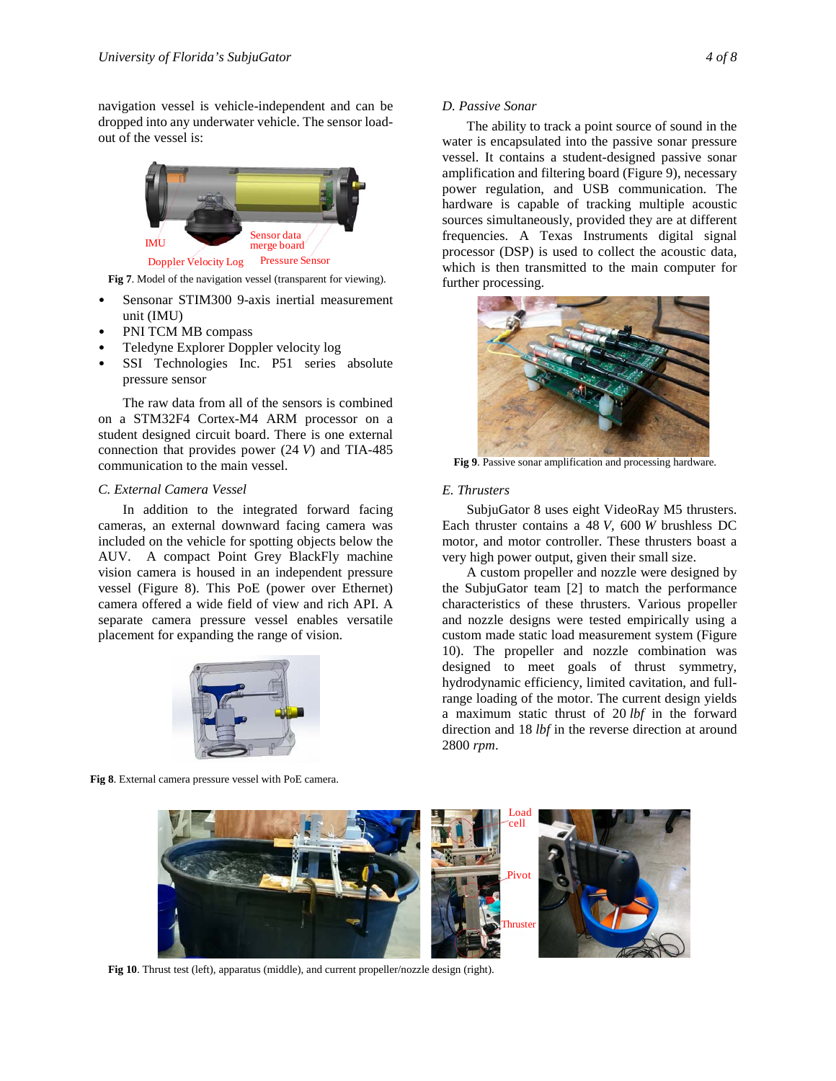navigation vessel is vehicle-independent and can be dropped into any underwater vehicle. The sensor loadout of the vessel is:



**Fig 7**. Model of the navigation vessel (transparent for viewing).

- Sensonar STIM300 9-axis inertial measurement unit (IMU)
- PNI TCM MB compass
- Teledyne Explorer Doppler velocity log
- SSI Technologies Inc. P51 series absolute pressure sensor

The raw data from all of the sensors is combined on a STM32F4 Cortex-M4 ARM processor on a student designed circuit board. There is one external connection that provides power (24 *V*) and TIA-485 communication to the main vessel.

## *C. External Camera Vessel*

In addition to the integrated forward facing cameras, an external downward facing camera was included on the vehicle for spotting objects below the AUV. A compact Point Grey BlackFly machine vision camera is housed in an independent pressure vessel (Figure 8). This PoE (power over Ethernet) camera offered a wide field of view and rich API. A separate camera pressure vessel enables versatile placement for expanding the range of vision.



**Fig 8**. External camera pressure vessel with PoE camera.

The ability to track a point source of sound in the water is encapsulated into the passive sonar pressure vessel. It contains a student-designed passive sonar amplification and filtering board (Figure 9), necessary power regulation, and USB communication. The hardware is capable of tracking multiple acoustic sources simultaneously, provided they are at different frequencies. A Texas Instruments digital signal processor (DSP) is used to collect the acoustic data, which is then transmitted to the main computer for further processing.



**Fig 9**. Passive sonar amplification and processing hardware.

# *E. Thrusters*

SubjuGator 8 uses eight VideoRay M5 thrusters. Each thruster contains a 48 *V*, 600 *W* brushless DC motor, and motor controller. These thrusters boast a very high power output, given their small size.

A custom propeller and nozzle were designed by the SubjuGator team [2] to match the performance characteristics of these thrusters. Various propeller and nozzle designs were tested empirically using a custom made static load measurement system (Figure 10). The propeller and nozzle combination was designed to meet goals of thrust symmetry, hydrodynamic efficiency, limited cavitation, and fullrange loading of the motor. The current design yields a maximum static thrust of 20 *lbf* in the forward direction and 18 *lbf* in the reverse direction at around 2800 *rpm*.



**Fig 10**. Thrust test (left), apparatus (middle), and current propeller/nozzle design (right).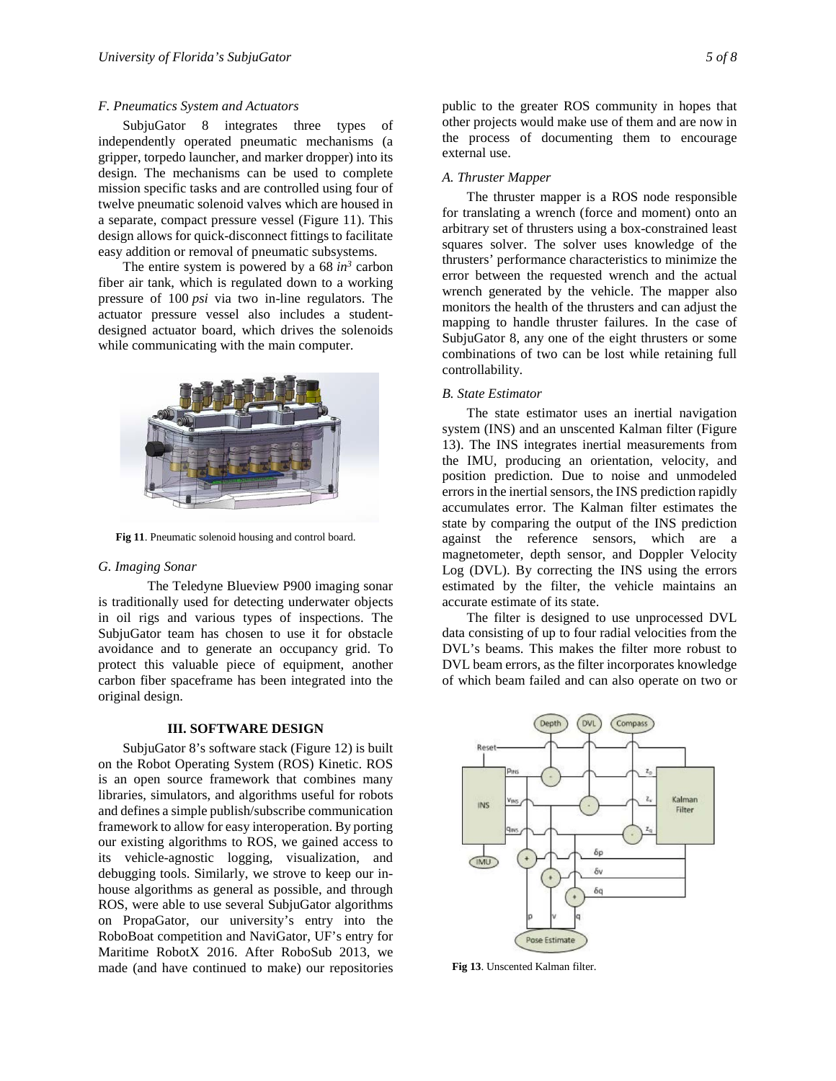## *F. Pneumatics System and Actuators*

SubjuGator 8 integrates three types of independently operated pneumatic mechanisms (a gripper, torpedo launcher, and marker dropper) into its design. The mechanisms can be used to complete mission specific tasks and are controlled using four of twelve pneumatic solenoid valves which are housed in a separate, compact pressure vessel (Figure 11). This design allows for quick-disconnect fittings to facilitate easy addition or removal of pneumatic subsystems.

The entire system is powered by a  $68 \text{ in}^3$  carbon fiber air tank, which is regulated down to a working pressure of 100 *psi* via two in-line regulators. The actuator pressure vessel also includes a studentdesigned actuator board, which drives the solenoids while communicating with the main computer.



**Fig 11**. Pneumatic solenoid housing and control board.

## *G. Imaging Sonar*

The Teledyne Blueview P900 imaging sonar is traditionally used for detecting underwater objects in oil rigs and various types of inspections. The SubjuGator team has chosen to use it for obstacle avoidance and to generate an occupancy grid. To protect this valuable piece of equipment, another carbon fiber spaceframe has been integrated into the original design.

# **III. SOFTWARE DESIGN**

SubjuGator 8's software stack (Figure 12) is built on the Robot Operating System (ROS) Kinetic. ROS is an open source framework that combines many libraries, simulators, and algorithms useful for robots and defines a simple publish/subscribe communication framework to allow for easy interoperation. By porting our existing algorithms to ROS, we gained access to its vehicle-agnostic logging, visualization, and debugging tools. Similarly, we strove to keep our inhouse algorithms as general as possible, and through ROS, were able to use several SubjuGator algorithms on PropaGator, our university's entry into the RoboBoat competition and NaviGator, UF's entry for Maritime RobotX 2016. After RoboSub 2013, we made (and have continued to make) our repositories

public to the greater ROS community in hopes that other projects would make use of them and are now in the process of documenting them to encourage external use.

#### *A. Thruster Mapper*

The thruster mapper is a ROS node responsible for translating a wrench (force and moment) onto an arbitrary set of thrusters using a box-constrained least squares solver. The solver uses knowledge of the thrusters' performance characteristics to minimize the error between the requested wrench and the actual wrench generated by the vehicle. The mapper also monitors the health of the thrusters and can adjust the mapping to handle thruster failures. In the case of SubjuGator 8, any one of the eight thrusters or some combinations of two can be lost while retaining full controllability.

## *B. State Estimator*

The state estimator uses an inertial navigation system (INS) and an unscented Kalman filter (Figure 13). The INS integrates inertial measurements from the IMU, producing an orientation, velocity, and position prediction. Due to noise and unmodeled errors in the inertial sensors, the INS prediction rapidly accumulates error. The Kalman filter estimates the state by comparing the output of the INS prediction against the reference sensors, which are a magnetometer, depth sensor, and Doppler Velocity Log (DVL). By correcting the INS using the errors estimated by the filter, the vehicle maintains an accurate estimate of its state.

The filter is designed to use unprocessed DVL data consisting of up to four radial velocities from the DVL's beams. This makes the filter more robust to DVL beam errors, as the filter incorporates knowledge of which beam failed and can also operate on two or



**Fig 13**. Unscented Kalman filter.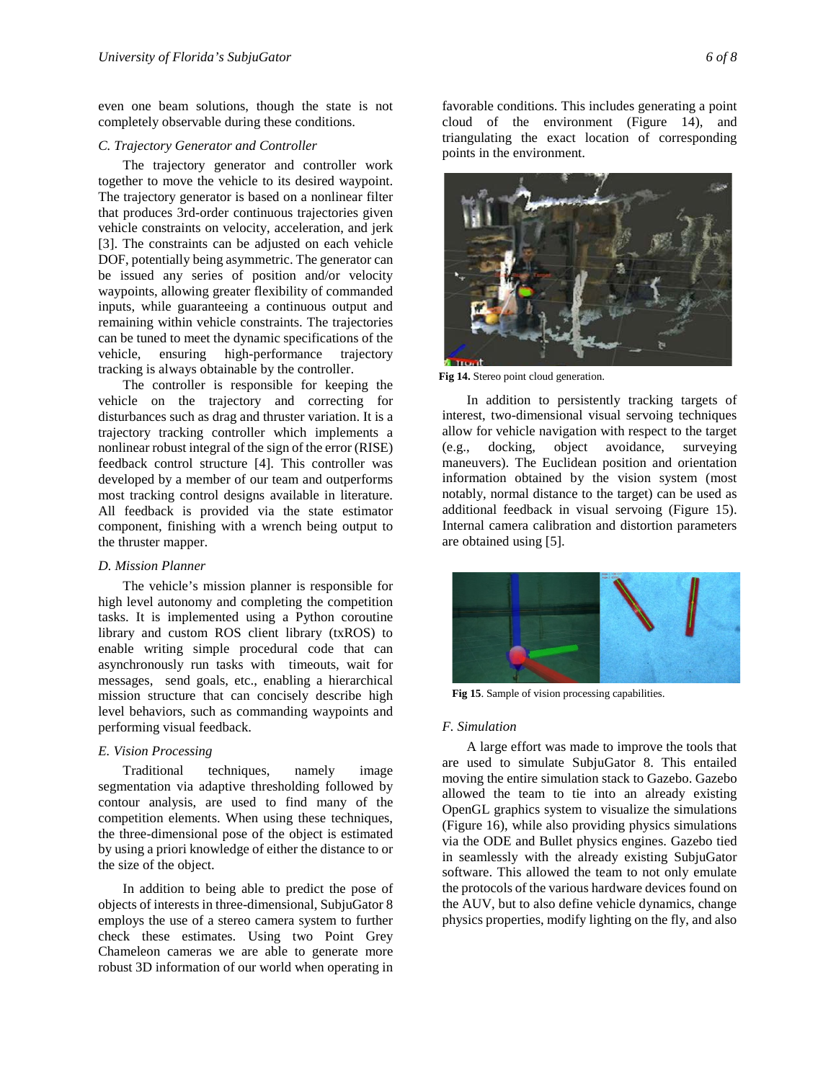even one beam solutions, though the state is not completely observable during these conditions.

## *C. Trajectory Generator and Controller*

The trajectory generator and controller work together to move the vehicle to its desired waypoint. The trajectory generator is based on a nonlinear filter that produces 3rd-order continuous trajectories given vehicle constraints on velocity, acceleration, and jerk [3]. The constraints can be adjusted on each vehicle DOF, potentially being asymmetric. The generator can be issued any series of position and/or velocity waypoints, allowing greater flexibility of commanded inputs, while guaranteeing a continuous output and remaining within vehicle constraints. The trajectories can be tuned to meet the dynamic specifications of the vehicle, ensuring high-performance trajectory vehicle, ensuring high-performance trajectory tracking is always obtainable by the controller.

The controller is responsible for keeping the vehicle on the trajectory and correcting for disturbances such as drag and thruster variation. It is a trajectory tracking controller which implements a nonlinear robust integral of the sign of the error (RISE) feedback control structure [4]. This controller was developed by a member of our team and outperforms most tracking control designs available in literature. All feedback is provided via the state estimator component, finishing with a wrench being output to the thruster mapper.

## *D. Mission Planner*

The vehicle's mission planner is responsible for high level autonomy and completing the competition tasks. It is implemented using a Python coroutine library and custom ROS client library (txROS) to enable writing simple procedural code that can asynchronously run tasks with timeouts, wait for messages, send goals, etc., enabling a hierarchical mission structure that can concisely describe high level behaviors, such as commanding waypoints and performing visual feedback.

## *E. Vision Processing*

Traditional techniques, namely image segmentation via adaptive thresholding followed by contour analysis, are used to find many of the competition elements. When using these techniques, the three-dimensional pose of the object is estimated by using a priori knowledge of either the distance to or the size of the object.

In addition to being able to predict the pose of objects of interests in three-dimensional, SubjuGator 8 employs the use of a stereo camera system to further check these estimates. Using two Point Grey Chameleon cameras we are able to generate more robust 3D information of our world when operating in

favorable conditions. This includes generating a point cloud of the environment (Figure 14), and triangulating the exact location of corresponding points in the environment.



**Fig 14.** Stereo point cloud generation.

In addition to persistently tracking targets of interest, two-dimensional visual servoing techniques allow for vehicle navigation with respect to the target (e.g., docking, object avoidance, surveying maneuvers). The Euclidean position and orientation information obtained by the vision system (most notably, normal distance to the target) can be used as additional feedback in visual servoing (Figure 15). Internal camera calibration and distortion parameters are obtained using [5].



**Fig 15**. Sample of vision processing capabilities.

## *F. Simulation*

A large effort was made to improve the tools that are used to simulate SubjuGator 8. This entailed moving the entire simulation stack to Gazebo. Gazebo allowed the team to tie into an already existing OpenGL graphics system to visualize the simulations (Figure 16), while also providing physics simulations via the ODE and Bullet physics engines. Gazebo tied in seamlessly with the already existing SubjuGator software. This allowed the team to not only emulate the protocols of the various hardware devices found on the AUV, but to also define vehicle dynamics, change physics properties, modify lighting on the fly, and also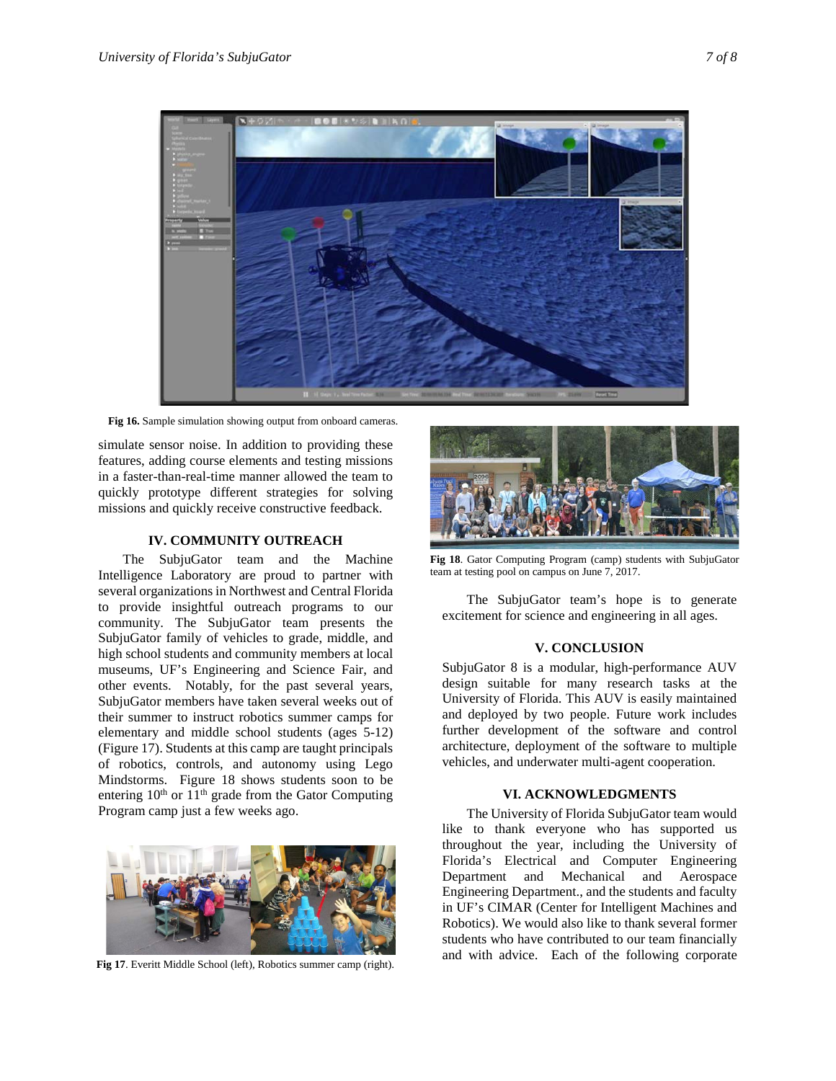

**Fig 16.** Sample simulation showing output from onboard cameras.

simulate sensor noise. In addition to providing these features, adding course elements and testing missions in a faster-than-real-time manner allowed the team to quickly prototype different strategies for solving missions and quickly receive constructive feedback.

# **IV. COMMUNITY OUTREACH**

The SubjuGator team and the Machine Intelligence Laboratory are proud to partner with several organizations in Northwest and Central Florida to provide insightful outreach programs to our community. The SubjuGator team presents the SubjuGator family of vehicles to grade, middle, and high school students and community members at local museums, UF's Engineering and Science Fair, and other events. Notably, for the past several years, SubjuGator members have taken several weeks out of their summer to instruct robotics summer camps for elementary and middle school students (ages 5-12) (Figure 17). Students at this camp are taught principals of robotics, controls, and autonomy using Lego Mindstorms. Figure 18 shows students soon to be entering  $10^{th}$  or  $11^{th}$  grade from the Gator Computing Program camp just a few weeks ago.



**Fig 17**. Everitt Middle School (left), Robotics summer camp (right).



**Fig 18**. Gator Computing Program (camp) students with SubjuGator team at testing pool on campus on June 7, 2017.

The SubjuGator team's hope is to generate excitement for science and engineering in all ages.

# **V. CONCLUSION**

SubjuGator 8 is a modular, high-performance AUV design suitable for many research tasks at the University of Florida. This AUV is easily maintained and deployed by two people. Future work includes further development of the software and control architecture, deployment of the software to multiple vehicles, and underwater multi-agent cooperation.

# **VI. ACKNOWLEDGMENTS**

The University of Florida SubjuGator team would like to thank everyone who has supported us throughout the year, including the University of Florida's Electrical and Computer Engineering Department and Mechanical and Aerospace Engineering Department., and the students and faculty in UF's CIMAR (Center for Intelligent Machines and Robotics). We would also like to thank several former students who have contributed to our team financially and with advice. Each of the following corporate